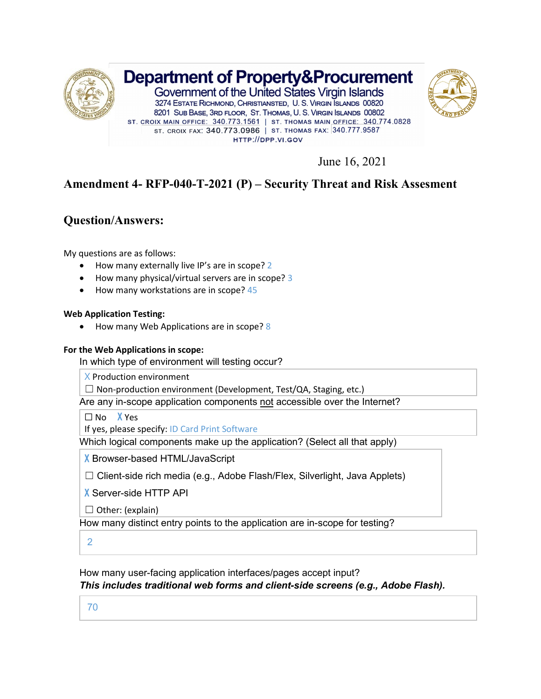

June 16, 2021

# **Amendment 4- RFP-040-T-2021 (P) – Security Threat and Risk Assesment**

### **Question/Answers:**

My questions are as follows:

- How many externally live IP's are in scope? 2
- How many physical/virtual servers are in scope? 3
- How many workstations are in scope? 45

#### **Web Application Testing:**

• How many Web Applications are in scope? 8

#### **For the Web Applications in scope:**

In which type of environment will testing occur?

X Production environment

 $\Box$  Non-production environment (Development, Test/QA, Staging, etc.)

Are any in-scope application components not accessible over the Internet?

□ No X Yes

If yes, please specify: ID Card Print Software

Which logical components make up the application? (Select all that apply)

X Browser-based HTML/JavaScript

☐ Client-side rich media (e.g., Adobe Flash/Flex, Silverlight, Java Applets)

X Server-side HTTP API

 $\Box$  Other: (explain)

How many distinct entry points to the application are in-scope for testing?

2

How many user-facing application interfaces/pages accept input?

*This includes traditional web forms and client-side screens (e.g., Adobe Flash).*

70